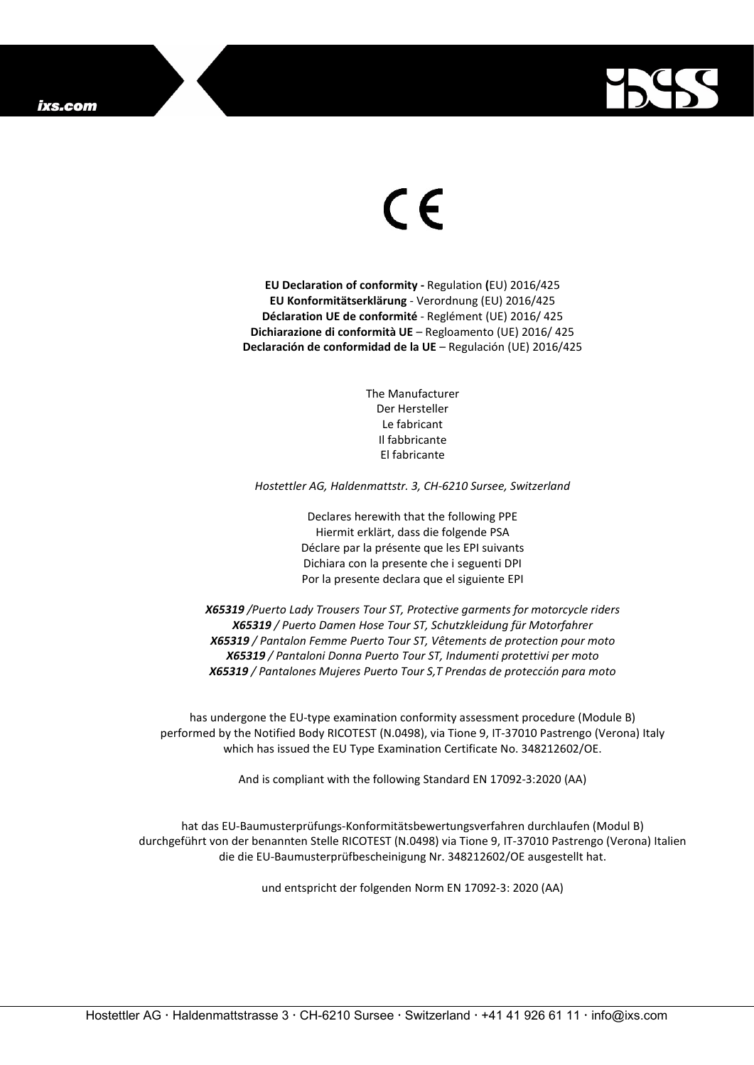

## C E

**EU Declaration of conformity -** Regulation **(**EU) 2016/425 **EU Konformitätserklärung** - Verordnung (EU) 2016/425 **Déclaration UE de conformité** - Reglément (UE) 2016/ 425 **Dichiarazione di conformità UE** – Regloamento (UE) 2016/ 425 **Declaración de conformidad de la UE** – Regulación (UE) 2016/425

> The Manufacturer Der Hersteller Le fabricant Il fabbricante El fabricante

*Hostettler AG, Haldenmattstr. 3, CH-6210 Sursee, Switzerland*

Declares herewith that the following PPE Hiermit erklärt, dass die folgende PSA Déclare par la présente que les EPI suivants Dichiara con la presente che i seguenti DPI Por la presente declara que el siguiente EPI

*X65319 /Puerto Lady Trousers Tour ST, Protective garments for motorcycle riders X65319 / Puerto Damen Hose Tour ST, Schutzkleidung für Motorfahrer X65319 / Pantalon Femme Puerto Tour ST, Vêtements de protection pour moto X65319 / Pantaloni Donna Puerto Tour ST, Indumenti protettivi per moto X65319 / Pantalones Mujeres Puerto Tour S,T Prendas de protección para moto*

has undergone the EU-type examination conformity assessment procedure (Module B) performed by the Notified Body RICOTEST (N.0498), via Tione 9, IT-37010 Pastrengo (Verona) Italy which has issued the EU Type Examination Certificate No. 348212602/OE.

And is compliant with the following Standard EN 17092-3:2020 (AA)

hat das EU-Baumusterprüfungs-Konformitätsbewertungsverfahren durchlaufen (Modul B) durchgeführt von der benannten Stelle RICOTEST (N.0498) via Tione 9, IT-37010 Pastrengo (Verona) Italien die die EU-Baumusterprüfbescheinigung Nr. 348212602/OE ausgestellt hat.

und entspricht der folgenden Norm EN 17092-3: 2020 (AA)